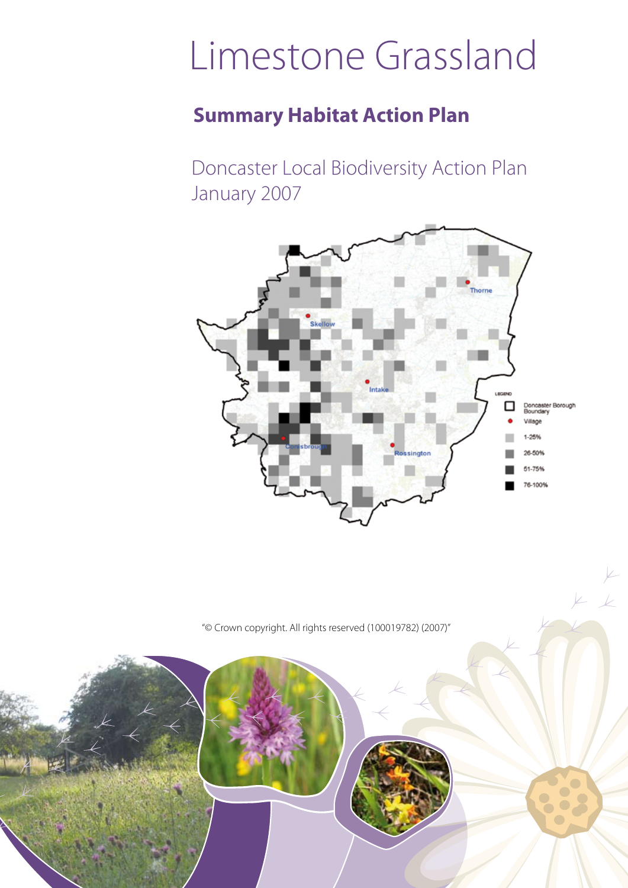# Limestone Grassland

## **Summary Habitat Action Plan**

Doncaster Local Biodiversity Action Plan January 2007



 $\overline{\mathcal{L}}$ 

"© Crown copyright. All rights reserved (100019782) (2007)"

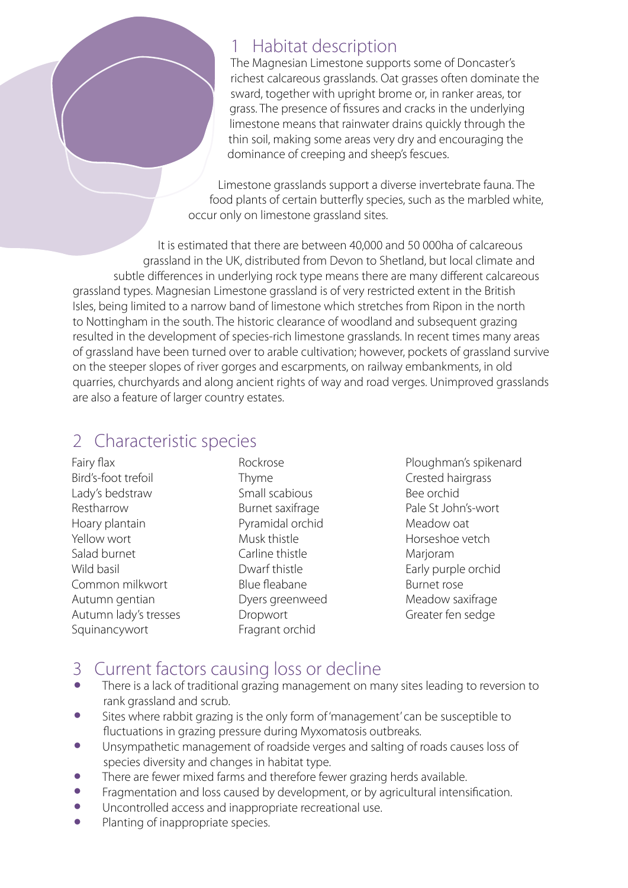#### 1 Habitat description

The Magnesian Limestone supports some of Doncaster's richest calcareous grasslands. Oat grasses often dominate the sward, together with upright brome or, in ranker areas, tor grass. The presence of fissures and cracks in the underlying limestone means that rainwater drains quickly through the thin soil, making some areas very dry and encouraging the dominance of creeping and sheep's fescues.

Limestone grasslands support a diverse invertebrate fauna. The food plants of certain butterfly species, such as the marbled white, occur only on limestone grassland sites.

It is estimated that there are between 40,000 and 50 000ha of calcareous grassland in the UK, distributed from Devon to Shetland, but local climate and subtle differences in underlying rock type means there are many different calcareous grassland types. Magnesian Limestone grassland is of very restricted extent in the British Isles, being limited to a narrow band of limestone which stretches from Ripon in the north to Nottingham in the south. The historic clearance of woodland and subsequent grazing resulted in the development of species-rich limestone grasslands. In recent times many areas of grassland have been turned over to arable cultivation; however, pockets of grassland survive on the steeper slopes of river gorges and escarpments, on railway embankments, in old quarries, churchyards and along ancient rights of way and road verges. Unimproved grasslands are also a feature of larger country estates.

### 2 Characteristic species

Fairy flax Bird's-foot trefoil Lady's bedstraw Restharrow Hoary plantain Yellow wort Salad burnet Wild basil Common milkwort Autumn gentian Autumn lady's tresses Squinancywort

Rockrose Thyme Small scabious Burnet saxifrage Pyramidal orchid Musk thistle Carline thistle Dwarf thistle Blue fleabane Dyers greenweed Dropwort Fragrant orchid

Ploughman's spikenard Crested hairgrass Bee orchid Pale St John's-wort Meadow oat Horseshoe vetch Marioram Early purple orchid Burnet rose Meadow saxifrage Greater fen sedge

### 3 Current factors causing loss or decline

- There is a lack of traditional grazing management on many sites leading to reversion to rank grassland and scrub.
- Sites where rabbit grazing is the only form of 'management' can be susceptible to fluctuations in grazing pressure during Myxomatosis outbreaks.
- Unsympathetic management of roadside verges and salting of roads causes loss of species diversity and changes in habitat type.
- There are fewer mixed farms and therefore fewer grazing herds available.<br>• Fragmentation and loss caused by development or by agricultural intens
- Fragmentation and loss caused by development, or by agricultural intensification.
- Uncontrolled access and inappropriate recreational use.<br>• Planting of inappropriate species
- Planting of inappropriate species.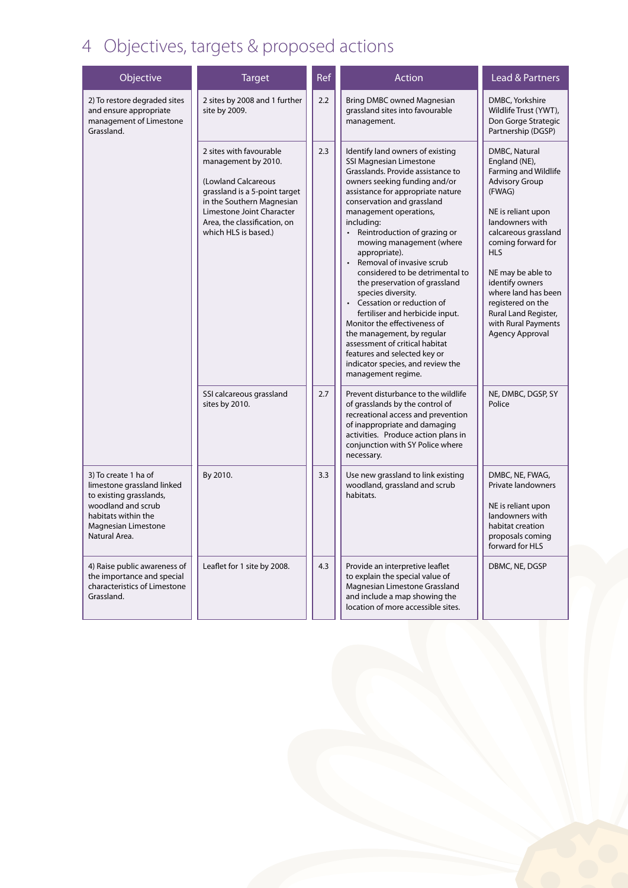# 4 Objectives, targets & proposed actions

| Objective                                                                                                                                                          | <b>Target</b>                                                                                                                                                                                                            | Ref | Action                                                                                                                                                                                                                                                                                                                                                                                                                                                                                                                                                                                                                                                                                                        | Lead & Partners                                                                                                                                                                                                                                                                                                                                             |
|--------------------------------------------------------------------------------------------------------------------------------------------------------------------|--------------------------------------------------------------------------------------------------------------------------------------------------------------------------------------------------------------------------|-----|---------------------------------------------------------------------------------------------------------------------------------------------------------------------------------------------------------------------------------------------------------------------------------------------------------------------------------------------------------------------------------------------------------------------------------------------------------------------------------------------------------------------------------------------------------------------------------------------------------------------------------------------------------------------------------------------------------------|-------------------------------------------------------------------------------------------------------------------------------------------------------------------------------------------------------------------------------------------------------------------------------------------------------------------------------------------------------------|
| 2) To restore degraded sites<br>and ensure appropriate<br>management of Limestone<br>Grassland.                                                                    | 2 sites by 2008 and 1 further<br>site by 2009.                                                                                                                                                                           | 2.2 | Bring DMBC owned Magnesian<br>grassland sites into favourable<br>management.                                                                                                                                                                                                                                                                                                                                                                                                                                                                                                                                                                                                                                  | DMBC, Yorkshire<br>Wildlife Trust (YWT),<br>Don Gorge Strategic<br>Partnership (DGSP)                                                                                                                                                                                                                                                                       |
|                                                                                                                                                                    | 2 sites with favourable<br>management by 2010.<br>(Lowland Calcareous<br>grassland is a 5-point target<br>in the Southern Magnesian<br>Limestone Joint Character<br>Area, the classification, on<br>which HLS is based.) | 2.3 | Identify land owners of existing<br>SSI Magnesian Limestone<br>Grasslands. Provide assistance to<br>owners seeking funding and/or<br>assistance for appropriate nature<br>conservation and grassland<br>management operations,<br>including:<br>• Reintroduction of grazing or<br>mowing management (where<br>appropriate).<br>Removal of invasive scrub<br>considered to be detrimental to<br>the preservation of grassland<br>species diversity.<br>Cessation or reduction of<br>fertiliser and herbicide input.<br>Monitor the effectiveness of<br>the management, by regular<br>assessment of critical habitat<br>features and selected key or<br>indicator species, and review the<br>management regime. | DMBC, Natural<br>England (NE),<br>Farming and Wildlife<br><b>Advisory Group</b><br>(FWAG)<br>NE is reliant upon<br>landowners with<br>calcareous grassland<br>coming forward for<br><b>HLS</b><br>NE may be able to<br>identify owners<br>where land has been<br>registered on the<br>Rural Land Register,<br>with Rural Payments<br><b>Agency Approval</b> |
|                                                                                                                                                                    | SSI calcareous grassland<br>sites by 2010.                                                                                                                                                                               | 2.7 | Prevent disturbance to the wildlife<br>of grasslands by the control of<br>recreational access and prevention<br>of inappropriate and damaging<br>activities. Produce action plans in<br>conjunction with SY Police where<br>necessary.                                                                                                                                                                                                                                                                                                                                                                                                                                                                        | NE, DMBC, DGSP, SY<br>Police                                                                                                                                                                                                                                                                                                                                |
| 3) To create 1 ha of<br>limestone grassland linked<br>to existing grasslands,<br>woodland and scrub<br>habitats within the<br>Magnesian Limestone<br>Natural Area. | By 2010.                                                                                                                                                                                                                 | 3.3 | Use new grassland to link existing<br>woodland, grassland and scrub<br>habitats.                                                                                                                                                                                                                                                                                                                                                                                                                                                                                                                                                                                                                              | DMBC, NE, FWAG,<br>Private landowners<br>NE is reliant upon<br>landowners with<br>habitat creation<br>proposals coming<br>forward for HLS                                                                                                                                                                                                                   |
| 4) Raise public awareness of<br>the importance and special<br>characteristics of Limestone<br>Grassland.                                                           | Leaflet for 1 site by 2008.                                                                                                                                                                                              | 4.3 | Provide an interpretive leaflet<br>to explain the special value of<br>Magnesian Limestone Grassland<br>and include a map showing the<br>location of more accessible sites.                                                                                                                                                                                                                                                                                                                                                                                                                                                                                                                                    | DBMC, NE, DGSP                                                                                                                                                                                                                                                                                                                                              |